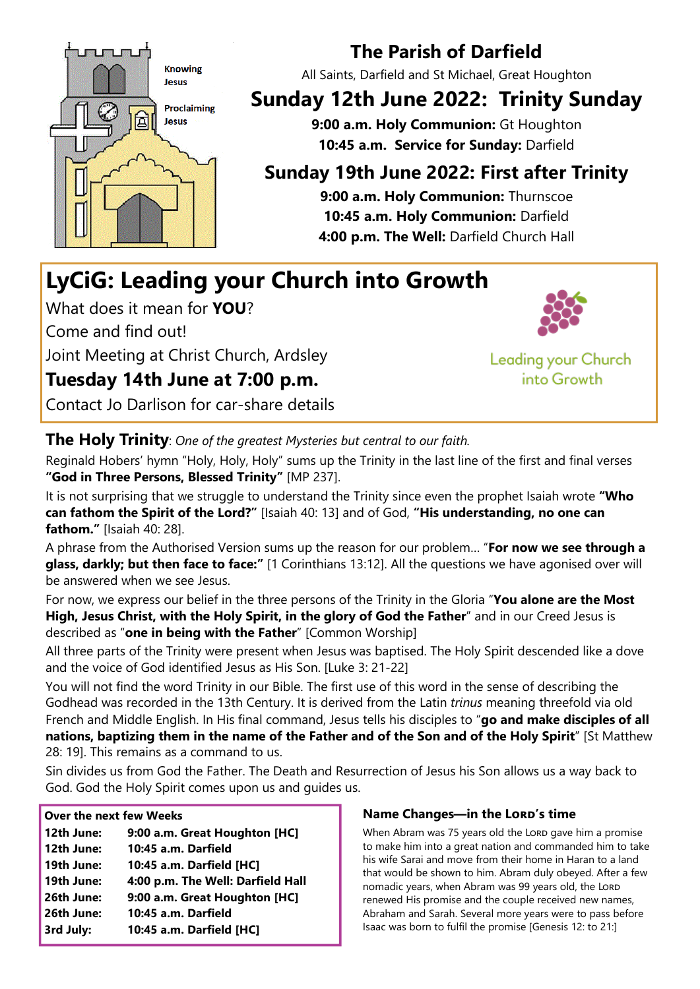

## The Parish of Darfield

All Saints, Darfield and St Michael, Great Houghton

# Sunday 12th June 2022: Trinity Sunday

9:00 a.m. Holy Communion: Gt Houghton 10:45 a.m. Service for Sunday: Darfield

## Sunday 19th June 2022: First after Trinity

9:00 a.m. Holy Communion: Thurnscoe 10:45 a.m. Holy Communion: Darfield 4:00 p.m. The Well: Darfield Church Hall

# LyCiG: Leading your Church into Growth

What does it mean for **YOU**?

Come and find out!

Joint Meeting at Christ Church, Ardsley

### Tuesday 14th June at 7:00 p.m.

Contact Jo Darlison for car-share details



Leading your Church into Growth

#### The Holy Trinity: One of the greatest Mysteries but central to our faith.

Reginald Hobers' hymn "Holy, Holy, Holy" sums up the Trinity in the last line of the first and final verses "God in Three Persons, Blessed Trinity" [MP 237].

It is not surprising that we struggle to understand the Trinity since even the prophet Isaiah wrote "Who can fathom the Spirit of the Lord?" [Isaiah 40: 13] and of God, "His understanding, no one can fathom." [Isaiah 40: 28].

A phrase from the Authorised Version sums up the reason for our problem... "For now we see through a glass, darkly; but then face to face:" [1 Corinthians 13:12]. All the questions we have agonised over will be answered when we see Jesus.

For now, we express our belief in the three persons of the Trinity in the Gloria "You alone are the Most High, Jesus Christ, with the Holy Spirit, in the glory of God the Father" and in our Creed Jesus is described as "one in being with the Father" [Common Worship]

All three parts of the Trinity were present when Jesus was baptised. The Holy Spirit descended like a dove and the voice of God identified Jesus as His Son. [Luke 3: 21-22]

You will not find the word Trinity in our Bible. The first use of this word in the sense of describing the Godhead was recorded in the 13th Century. It is derived from the Latin trinus meaning threefold via old French and Middle English. In His final command, Jesus tells his disciples to "go and make disciples of all nations, baptizing them in the name of the Father and of the Son and of the Holy Spirit" [St Matthew 28: 19]. This remains as a command to us.

Sin divides us from God the Father. The Death and Resurrection of Jesus his Son allows us a way back to God. God the Holy Spirit comes upon us and guides us.

#### Over the next few Weeks

12th June: 9:00 a.m. Great Houghton [HC] 12th June: 10:45 a.m. Darfield 19th June: 10:45 a.m. Darfield [HC] 19th June: 4:00 p.m. The Well: Darfield Hall 26th June: 9:00 a.m. Great Houghton [HC] 26th June: 10:45 a.m. Darfield 3rd July: 10:45 a.m. Darfield [HC]

#### Name Changes—in the LORD's time

When Abram was 75 years old the LORD gave him a promise to make him into a great nation and commanded him to take his wife Sarai and move from their home in Haran to a land that would be shown to him. Abram duly obeyed. After a few nomadic years, when Abram was 99 years old, the LORD renewed His promise and the couple received new names, Abraham and Sarah. Several more years were to pass before Isaac was born to fulfil the promise [Genesis 12: to 21:]